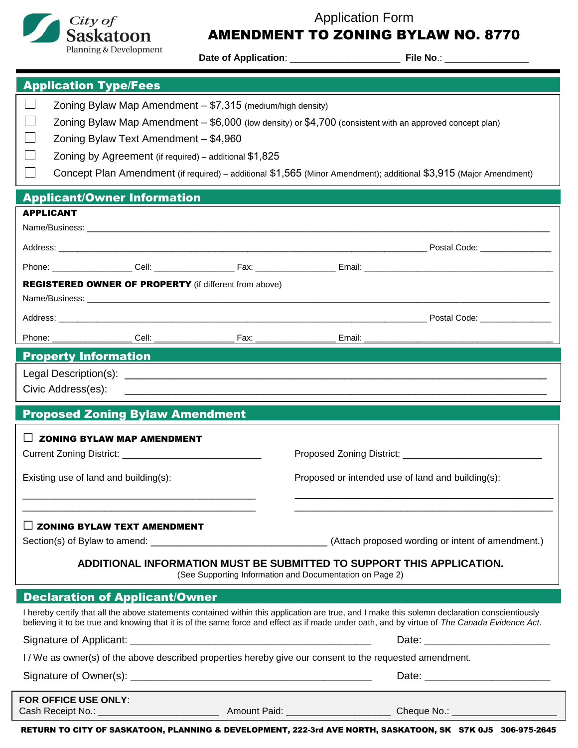



# AMENDMENT TO ZONING BYLAW NO. 8770

**Date of Application**: \_\_\_\_\_\_\_\_\_\_\_\_\_\_\_\_\_\_\_\_\_ **File No**.: \_\_\_\_\_\_\_\_\_\_\_\_\_\_\_\_

| <b>Application Type/Fees</b>                                                                                                                                                                                                                                                                  |                                                        |                                                                                                                                                                                                                                |  |
|-----------------------------------------------------------------------------------------------------------------------------------------------------------------------------------------------------------------------------------------------------------------------------------------------|--------------------------------------------------------|--------------------------------------------------------------------------------------------------------------------------------------------------------------------------------------------------------------------------------|--|
| <b>College</b><br>Zoning Bylaw Map Amendment - \$7,315 (medium/high density)                                                                                                                                                                                                                  |                                                        |                                                                                                                                                                                                                                |  |
| Zoning Bylaw Map Amendment - \$6,000 (low density) or \$4,700 (consistent with an approved concept plan)                                                                                                                                                                                      |                                                        |                                                                                                                                                                                                                                |  |
| Zoning Bylaw Text Amendment - \$4,960                                                                                                                                                                                                                                                         |                                                        |                                                                                                                                                                                                                                |  |
|                                                                                                                                                                                                                                                                                               | Zoning by Agreement (if required) – additional \$1,825 |                                                                                                                                                                                                                                |  |
| Concept Plan Amendment (if required) – additional \$1,565 (Minor Amendment); additional \$3,915 (Major Amendment)                                                                                                                                                                             |                                                        |                                                                                                                                                                                                                                |  |
| <b>Applicant/Owner Information</b>                                                                                                                                                                                                                                                            |                                                        |                                                                                                                                                                                                                                |  |
| <b>APPLICANT</b>                                                                                                                                                                                                                                                                              |                                                        |                                                                                                                                                                                                                                |  |
|                                                                                                                                                                                                                                                                                               |                                                        |                                                                                                                                                                                                                                |  |
|                                                                                                                                                                                                                                                                                               |                                                        |                                                                                                                                                                                                                                |  |
|                                                                                                                                                                                                                                                                                               |                                                        |                                                                                                                                                                                                                                |  |
| <b>REGISTERED OWNER OF PROPERTY</b> (if different from above)                                                                                                                                                                                                                                 |                                                        |                                                                                                                                                                                                                                |  |
|                                                                                                                                                                                                                                                                                               |                                                        |                                                                                                                                                                                                                                |  |
|                                                                                                                                                                                                                                                                                               |                                                        |                                                                                                                                                                                                                                |  |
|                                                                                                                                                                                                                                                                                               |                                                        |                                                                                                                                                                                                                                |  |
| <b>Property Information and Construction Construction Construction Construction Construction Construction Constr</b>                                                                                                                                                                          |                                                        |                                                                                                                                                                                                                                |  |
|                                                                                                                                                                                                                                                                                               |                                                        |                                                                                                                                                                                                                                |  |
| Civic Address(es):                                                                                                                                                                                                                                                                            |                                                        |                                                                                                                                                                                                                                |  |
| <b>Proposed Zoning Bylaw Amendment</b>                                                                                                                                                                                                                                                        |                                                        |                                                                                                                                                                                                                                |  |
| <b>ZONING BYLAW MAP AMENDMENT</b>                                                                                                                                                                                                                                                             |                                                        |                                                                                                                                                                                                                                |  |
|                                                                                                                                                                                                                                                                                               |                                                        |                                                                                                                                                                                                                                |  |
|                                                                                                                                                                                                                                                                                               |                                                        |                                                                                                                                                                                                                                |  |
| Existing use of land and building(s):                                                                                                                                                                                                                                                         |                                                        | Proposed or intended use of land and building(s):                                                                                                                                                                              |  |
|                                                                                                                                                                                                                                                                                               |                                                        |                                                                                                                                                                                                                                |  |
| <b>ZONING BYLAW TEXT AMENDMENT</b>                                                                                                                                                                                                                                                            |                                                        |                                                                                                                                                                                                                                |  |
|                                                                                                                                                                                                                                                                                               |                                                        |                                                                                                                                                                                                                                |  |
|                                                                                                                                                                                                                                                                                               |                                                        |                                                                                                                                                                                                                                |  |
| ADDITIONAL INFORMATION MUST BE SUBMITTED TO SUPPORT THIS APPLICATION.<br>(See Supporting Information and Documentation on Page 2)                                                                                                                                                             |                                                        |                                                                                                                                                                                                                                |  |
| <b>Declaration of Applicant/Owner</b>                                                                                                                                                                                                                                                         |                                                        |                                                                                                                                                                                                                                |  |
| I hereby certify that all the above statements contained within this application are true, and I make this solemn declaration conscientiously<br>believing it to be true and knowing that it is of the same force and effect as if made under oath, and by virtue of The Canada Evidence Act. |                                                        |                                                                                                                                                                                                                                |  |
|                                                                                                                                                                                                                                                                                               |                                                        | Date: the contract of the contract of the contract of the contract of the contract of the contract of the contract of the contract of the contract of the contract of the contract of the contract of the contract of the cont |  |
| I / We as owner(s) of the above described properties hereby give our consent to the requested amendment.                                                                                                                                                                                      |                                                        |                                                                                                                                                                                                                                |  |
|                                                                                                                                                                                                                                                                                               |                                                        |                                                                                                                                                                                                                                |  |
| <b>FOR OFFICE USE ONLY:</b>                                                                                                                                                                                                                                                                   |                                                        |                                                                                                                                                                                                                                |  |
|                                                                                                                                                                                                                                                                                               | Amount Paid: _______________________                   |                                                                                                                                                                                                                                |  |

RETURN TO CITY OF SASKATOON, PLANNING & DEVELOPMENT, 222-3rd AVE NORTH, SASKATOON, SK S7K 0J5 306-975-2645